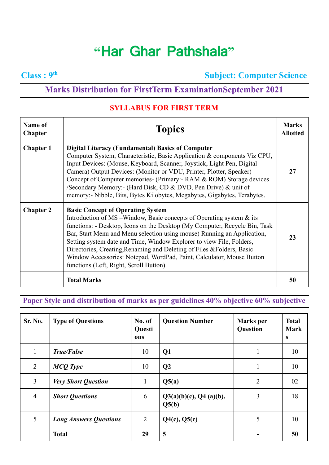## **"**Har Ghar Pathshala**"**

**Class : 9**

**th Subject: Computer Science**

## **Marks Distribution for FirstTerm ExaminationSeptember 2021**

## **SYLLABUS FOR FIRST TERM**

| <b>Name of</b><br><b>Chapter</b> | <b>Topics</b>                                                                                                                                                                                                                                                                                                                                                                                                                                                                                                                                      |    |
|----------------------------------|----------------------------------------------------------------------------------------------------------------------------------------------------------------------------------------------------------------------------------------------------------------------------------------------------------------------------------------------------------------------------------------------------------------------------------------------------------------------------------------------------------------------------------------------------|----|
| <b>Chapter 1</b>                 | <b>Digital Literacy (Fundamental) Basics of Computer</b><br>Computer System, Characteristic, Basic Application & components Viz CPU,<br>Input Devices: (Mouse, Keyboard, Scanner, Joystick, Light Pen, Digital<br>Camera) Output Devices: (Monitor or VDU, Printer, Plotter, Speaker)<br>Concept of Computer memories- (Primary: - RAM & ROM) Storage devices<br>/Secondary Memory:- (Hard Disk, CD & DVD, Pen Drive) & unit of<br>memory:- Nibble, Bits, Bytes Kilobytes, Megabytes, Gigabytes, Terabytes.                                        | 27 |
| <b>Chapter 2</b>                 | <b>Basic Concept of Operating System</b><br>Introduction of MS –Window, Basic concepts of Operating system $\&$ its<br>functions: - Desktop, Icons on the Desktop (My Computer, Recycle Bin, Task<br>Bar, Start Menu and Menu selection using mouse) Running an Application,<br>Setting system date and Time, Window Explorer to view File, Folders,<br>Directories, Creating, Renaming and Deleting of Files & Folders, Basic<br>Window Accessories: Notepad, WordPad, Paint, Calculator, Mouse Button<br>functions (Left, Right, Scroll Button). | 23 |
|                                  | <b>Total Marks</b>                                                                                                                                                                                                                                                                                                                                                                                                                                                                                                                                 | 50 |

## **Paper Style and distribution of marks as per guidelines 40% objective 60% subjective**

| Sr. No.        | <b>Type of Questions</b>      | No. of<br><b>Questi</b><br>ons | <b>Question Number</b>          | <b>Marks</b> per<br>Question | <b>Total</b><br><b>Mark</b><br>$\mathbf{s}$ |
|----------------|-------------------------------|--------------------------------|---------------------------------|------------------------------|---------------------------------------------|
|                | <b>True/False</b>             | 10                             | Q <sub>1</sub>                  | 1                            | 10                                          |
| 2              | <b>MCQ</b> Type               | 10                             | Q <sub>2</sub>                  | 1                            | 10                                          |
| $\overline{3}$ | <b>Very Short Question</b>    | $\mathbf{1}$                   | Q5(a)                           | $\overline{2}$               | 02                                          |
| $\overline{4}$ | <b>Short Questions</b>        | 6                              | Q3(a)(b)(c), Q4(a)(b),<br>Q5(b) | 3                            | 18                                          |
| 5              | <b>Long Answers Questions</b> | 2                              | Q4(c), Q5(c)                    | 5                            | 10                                          |
|                | <b>Total</b>                  | 29                             | 5                               |                              | 50                                          |